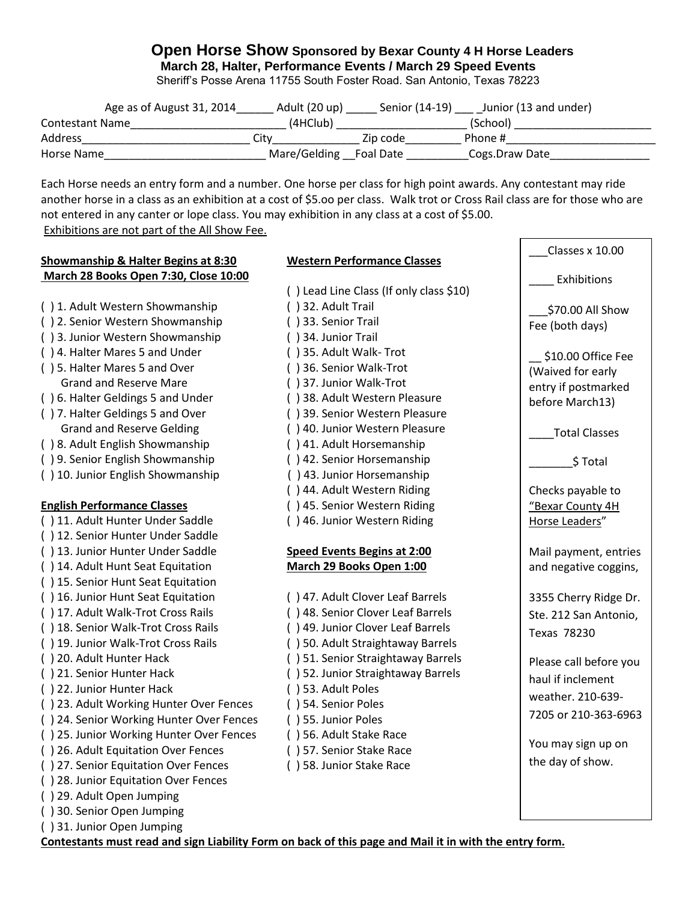## **Open Horse Show Sponsored by Bexar County 4 H Horse Leaders March 28, Halter, Performance Events / March 29 Speed Events**

Sheriff's Posse Arena 11755 South Foster Road. San Antonio, Texas 78223

|                        | Age as of August 31, 2014 | Adult (20 up)          | Senior (14-19) | Junior (13 and under) |
|------------------------|---------------------------|------------------------|----------------|-----------------------|
| <b>Contestant Name</b> |                           | (4HClub)               |                | (School)              |
| Address                |                           | Citv                   | Zip code       | Phone #               |
| Horse Name             |                           | Mare/Gelding Foal Date |                | Cogs.Draw Date        |

Each Horse needs an entry form and a number. One horse per class for high point awards. Any contestant may ride another horse in a class as an exhibition at a cost of \$5.oo per class. Walk trot or Cross Rail class are for those who are not entered in any canter or lope class. You may exhibition in any class at a cost of \$5.00. Exhibitions are not part of the All Show Fee.

### **Showmanship & Halter Begins at 8:30 Western Performance Classes March 28 Books Open 7:30, Close 10:00**

- ( ) 1. Adult Western Showmanship ( ) 32. Adult Trail
- ( ) 2. Senior Western Showmanship ( ) 33. Senior Trail
- ( ) 3. Junior Western Showmanship ( ) 34. Junior Trail
- ( ) 4. Halter Mares 5 and Under ( ) 35. Adult Walk- Trot
- ( ) 5. Halter Mares 5 and Over ( ) 36. Senior Walk-Trot Grand and Reserve Mare ( ) 37. Junior Walk-Trot
- ( ) 6. Halter Geldings 5 and Under ( ) 38. Adult Western Pleasure
- 
- ( ) 8. Adult English Showmanship ( ) 41. Adult Horsemanship
- ( ) 9. Senior English Showmanship ( ) 42. Senior Horsemanship
- ( ) 10. Junior English Showmanship ( ) 43. Junior Horsemanship

- ( ) 11. Adult Hunter Under Saddle ( ) 46. Junior Western Riding
- ( ) 12. Senior Hunter Under Saddle
- ( ) 13. Junior Hunter Under Saddle **Speed Events Begins at 2:00**
- ( ) 14. Adult Hunt Seat Equitation **March 29 Books Open 1:00**
- ( ) 15. Senior Hunt Seat Equitation
- ( ) 16. Junior Hunt Seat Equitation ( ) 47. Adult Clover Leaf Barrels
- ( ) 17. Adult Walk-Trot Cross Rails ( ) 48. Senior Clover Leaf Barrels
- ( ) 18. Senior Walk-Trot Cross Rails ( ) 49. Junior Clover Leaf Barrels
- ( ) 19. Junior Walk-Trot Cross Rails ( ) 50. Adult Straightaway Barrels
- 
- ( ) 21. Senior Hunter Hack ( ) 52. Junior Straightaway Barrels
- ( ) 22. Junior Hunter Hack ( ) 53. Adult Poles
- ( ) 23. Adult Working Hunter Over Fences ( ) 54. Senior Poles
- ( ) 24. Senior Working Hunter Over Fences ( ) 55. Junior Poles
- ( ) 25. Junior Working Hunter Over Fences ( ) 56. Adult Stake Race
- ( ) 26. Adult Equitation Over Fences ( ) 57. Senior Stake Race
- ( ) 27. Senior Equitation Over Fences ( ) 58. Junior Stake Race
- ( ) 28. Junior Equitation Over Fences
- ( ) 29. Adult Open Jumping
- ( ) 30. Senior Open Jumping
- ( ) 31. Junior Open Jumping

- ( ) Lead Line Class (If only class \$10) ( ) 7. Halter Geldings 5 and Over ( ) 39. Senior Western Pleasure Grand and Reserve Gelding (1996) (1996) 10. Junior Western Pleasure ( ) 44. Adult Western Riding **English Performance Classes** ( ) 45. Senior Western Riding
	-
	-
	-
- ( ) 20. Adult Hunter Hack ( ) 51. Senior Straightaway Barrels
	-
	-
	-
	-
	-
	-
	-

# \_\_\_Classes x 10.00 **Exhibitions** \_\_\_\$70.00 All Show Fee (both days) \$10.00 Office Fee (Waived for early entry if postmarked before March13) \_\_\_\_Total Classes \_\_\_\_\_\_\_\$ Total Checks payable to "Bexar County 4H Horse Leaders" Mail payment, entries and negative coggins, 3355 Cherry Ridge Dr. Ste. 212 San Antonio, Texas 78230 Please call before you haul if inclement weather. 210-639- 7205 or 210-363-6963

You may sign up on the day of show.

**Contestants must read and sign Liability Form on back of this page and Mail it in with the entry form.**